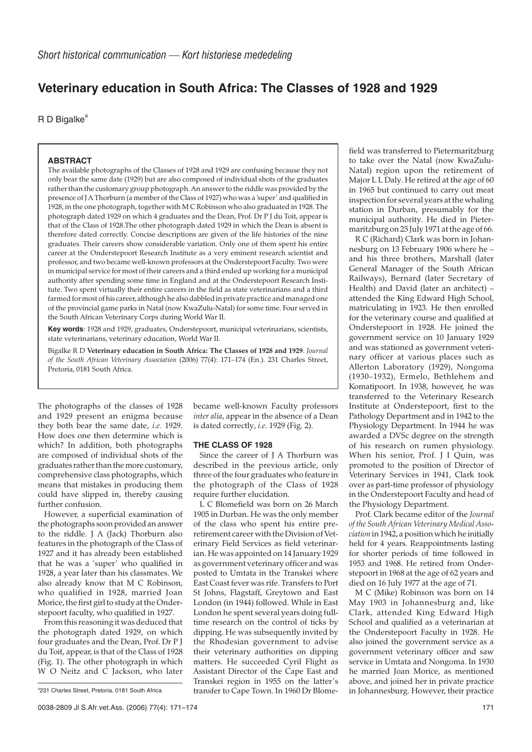# **Veterinary education in South Africa: The Classes of 1928 and 1929**

 $R$  D Bigalke<sup>a</sup>

### **ABSTRACT**

The available photographs of the Classes of 1928 and 1929 are confusing because they not only bear the same date (1929) but are also composed of individual shots of the graduates rather than the customary group photograph. An answer to the riddle was provided by the presence of J A Thorburn (a member of the Class of 1927) who was a 'super' and qualified in 1928, in the one photograph, together with M C Robinson who also graduated in 1928. The photograph dated 1929 on which 4 graduates and the Dean, Prof. Dr P J du Toit, appear is that of the Class of 1928.The other photograph dated 1929 in which the Dean is absent is therefore dated correctly. Concise descriptions are given of the life histories of the nine graduates. Their careers show considerable variation. Only one of them spent his entire career at the Onderstepoort Research Institute as a very eminent research scientist and professor, and two became well-known professors at the Onderstepoort Faculty. Two were in municipal service for most of their careers and a third ended up working for a municipal authority after spending some time in England and at the Onderstepoort Research Institute. Two spent virtually their entire careers in the field as state veterinarians and a third farmed for most of his career, although he also dabbled in private practice and managed one of the provincial game parks in Natal (now KwaZulu-Natal) for some time. Four served in the South African Veterinary Corps during World War II.

**Key words**: 1928 and 1929, graduates, Onderstepoort, municipal veterinarians, scientists, state veterinarians, veterinary education, World War II.

Bigalke R D **Veterinary education in South Africa: The Classes of 1928 and 1929**. *Journal of the South African Veterinary Association* (2006) 77(4): 171–174 (En.). 231 Charles Street, Pretoria, 0181 South Africa.

The photographs of the classes of 1928 and 1929 present an enigma because they both bear the same date, *i.e.* 1929. How does one then determine which is which? In addition, both photographs are composed of individual shots of the graduates rather than the more customary, comprehensive class photographs, which means that mistakes in producing them could have slipped in, thereby causing further confusion.

However, a superficial examination of the photographs soon provided an answer to the riddle. J A (Jack) Thorburn also features in the photograph of the Class of 1927 and it has already been established that he was a 'super' who qualified in 1928, a year later than his classmates. We also already know that M C Robinson, who qualified in 1928, married Joan Morice, the first girl to study at the Onderstepoort faculty, who qualified in 1927.

From this reasoning it was deduced that the photograph dated 1929, on which four graduates and the Dean, Prof. Dr P J du Toit, appear, is that of the Class of 1928 (Fig. 1). The other photograph in which W O Neitz and C Jackson, who later

<sup>a</sup>231 Charles Street, Pretoria, 0181 South Africa.

became well-known Faculty professors *inter alia*, appear in the absence of a Dean is dated correctly, *i.e.* 1929 (Fig. 2).

#### **THE CLASS OF 1928**

Since the career of J A Thorburn was described in the previous article, only three of the four graduates who feature in the photograph of the Class of 1928 require further elucidation.

L C Blomefield was born on 26 March 1905 in Durban. He was the only member of the class who spent his entire preretirement career with the Division of Veterinary Field Services as field veterinarian. He was appointed on 14 January 1929 as government veterinary officer and was posted to Umtata in the Transkei where East Coast fever was rife. Transfers to Port St Johns, Flagstaff, Greytown and East London (in 1944) followed. While in East London he spent several years doing fulltime research on the control of ticks by dipping. He was subsequently invited by the Rhodesian government to advise their veterinary authorities on dipping matters. He succeeded Cyril Flight as Assistant Director of the Cape East and Transkei region in 1955 on the latter's transfer to Cape Town. In 1960 Dr Blome-

field was transferred to Pietermaritzburg to take over the Natal (now KwaZulu-Natal) region upon the retirement of Major L L Daly. He retired at the age of 60 in 1965 but continued to carry out meat inspection for several years at the whaling station in Durban, presumably for the municipal authority. He died in Pietermaritzburg on 25 July 1971 at the age of 66.

R C (Richard) Clark was born in Johannesburg on 13 February 1906 where he – and his three brothers, Marshall (later General Manager of the South African Railways), Bernard (later Secretary of Health) and David (later an architect) – attended the King Edward High School, matriculating in 1923. He then enrolled for the veterinary course and qualified at Onderstepoort in 1928. He joined the government service on 10 January 1929 and was stationed as government veterinary officer at various places such as Allerton Laboratory (1929), Nongoma (1930–1932), Ermelo, Bethlehem and Komatipoort. In 1938, however, he was transferred to the Veterinary Research Institute at Onderstepoort, first to the Pathology Department and in 1942 to the Physiology Department. In 1944 he was awarded a DVSc degree on the strength of his research on rumen physiology. When his senior, Prof. J I Quin, was promoted to the position of Director of Veterinary Services in 1941, Clark took over as part-time professor of physiology in the Onderstepoort Faculty and head of the Physiology Department.

Prof. Clark became editor of the *Journal of the South African Veterinary Medical Association* in 1942, a position which he initially held for 4 years. Reappointments lasting for shorter periods of time followed in 1953 and 1968. He retired from Onderstepoort in 1968 at the age of 62 years and died on 16 July 1977 at the age of 71.

M C (Mike) Robinson was born on 14 May 1903 in Johannesburg and, like Clark, attended King Edward High School and qualified as a veterinarian at the Onderstepoort Faculty in 1928. He also joined the government service as a government veterinary officer and saw service in Umtata and Nongoma. In 1930 he married Joan Morice, as mentioned above, and joined her in private practice in Johannesburg. However, their practice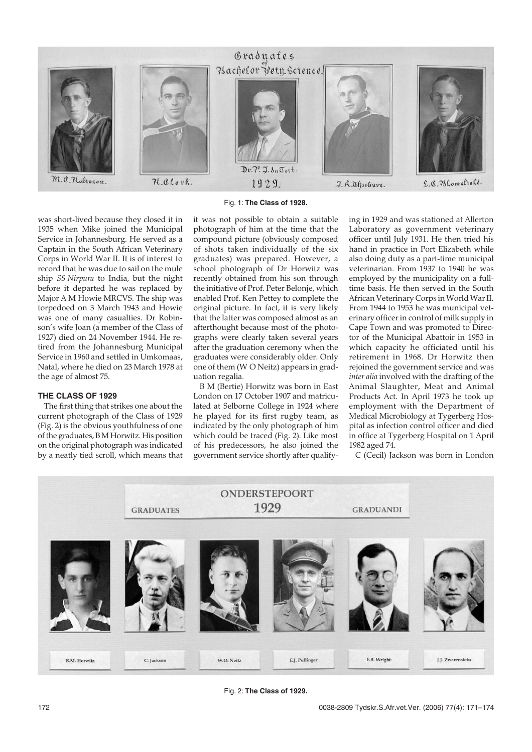

Fig. 1: **The Class of 1928.**

was short-lived because they closed it in 1935 when Mike joined the Municipal Service in Johannesburg. He served as a Captain in the South African Veterinary Corps in World War II. It is of interest to record that he was due to sail on the mule ship *SS Nirpura* to India, but the night before it departed he was replaced by Major A M Howie MRCVS. The ship was torpedoed on 3 March 1943 and Howie was one of many casualties. Dr Robinson's wife Joan (a member of the Class of 1927) died on 24 November 1944. He retired from the Johannesburg Municipal Service in 1960 and settled in Umkomaas, Natal, where he died on 23 March 1978 at the age of almost 75.

#### **THE CLASS OF 1929**

The first thing that strikes one about the current photograph of the Class of 1929 (Fig. 2) is the obvious youthfulness of one of the graduates, B M Horwitz. His position on the original photograph was indicated by a neatly tied scroll, which means that it was not possible to obtain a suitable photograph of him at the time that the compound picture (obviously composed of shots taken individually of the six graduates) was prepared. However, a school photograph of Dr Horwitz was recently obtained from his son through the initiative of Prof. Peter Belonje, which enabled Prof. Ken Pettey to complete the original picture. In fact, it is very likely that the latter was composed almost as an afterthought because most of the photographs were clearly taken several years after the graduation ceremony when the graduates were considerably older. Only one of them (W O Neitz) appears in graduation regalia.

B M (Bertie) Horwitz was born in East London on 17 October 1907 and matriculated at Selborne College in 1924 where he played for its first rugby team, as indicated by the only photograph of him which could be traced (Fig. 2). Like most of his predecessors, he also joined the government service shortly after qualifying in 1929 and was stationed at Allerton Laboratory as government veterinary officer until July 1931. He then tried his hand in practice in Port Elizabeth while also doing duty as a part-time municipal veterinarian. From 1937 to 1940 he was employed by the municipality on a fulltime basis. He then served in the South African Veterinary Corps in World War II. From 1944 to 1953 he was municipal veterinary officer in control of milk supply in Cape Town and was promoted to Director of the Municipal Abattoir in 1953 in which capacity he officiated until his retirement in 1968. Dr Horwitz then rejoined the government service and was *inter alia* involved with the drafting of the Animal Slaughter, Meat and Animal Products Act. In April 1973 he took up employment with the Department of Medical Microbiology at Tygerberg Hospital as infection control officer and died in office at Tygerberg Hospital on 1 April 1982 aged 74.

C (Cecil) Jackson was born in London



Fig. 2: **The Class of 1929.**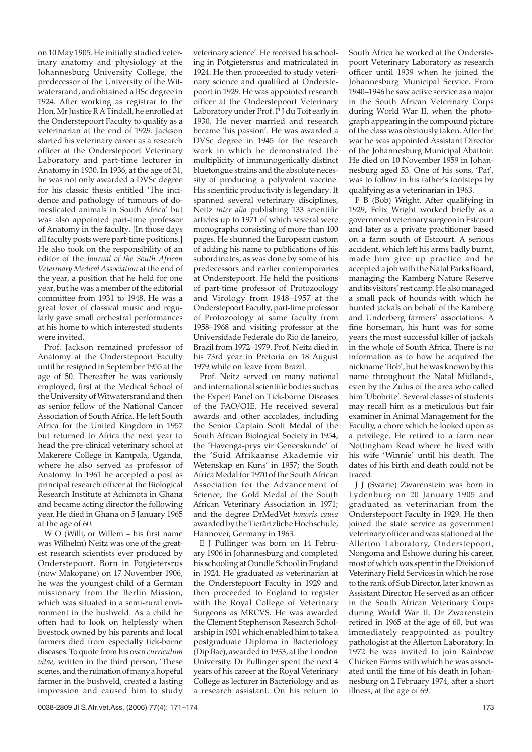on 10 May 1905. He initially studied veterinary anatomy and physiology at the Johannesburg University College, the predecessor of the University of the Witwatersrand, and obtained a BSc degree in 1924. After working as registrar to the Hon. Mr Justice R A Tindall, he enrolled at the Onderstepoort Faculty to qualify as a veterinarian at the end of 1929. Jackson started his veterinary career as a research officer at the Onderstepoort Veterinary Laboratory and part-time lecturer in Anatomy in 1930. In 1936, at the age of 31, he was not only awarded a DVSc degree for his classic thesis entitled 'The incidence and pathology of tumours of domesticated animals in South Africa' but was also appointed part-time professor of Anatomy in the faculty. [In those days all faculty posts were part-time positions.] He also took on the responsibility of an editor of the *Journal of the South African Veterinary Medical Association* at the end of the year, a position that he held for one year, but he was a member of the editorial committee from 1931 to 1948. He was a great lover of classical music and regularly gave small orchestral performances at his home to which interested students were invited.

Prof. Jackson remained professor of Anatomy at the Onderstepoort Faculty until he resigned in September 1955 at the age of 50. Thereafter he was variously employed, first at the Medical School of the University of Witwatersrand and then as senior fellow of the National Cancer Association of South Africa. He left South Africa for the United Kingdom in 1957 but returned to Africa the next year to head the pre-clinical veterinary school at Makerere College in Kampala, Uganda, where he also served as professor of Anatomy. In 1961 he accepted a post as principal research officer at the Biological Research Institute at Achimota in Ghana and became acting director the following year. He died in Ghana on 5 January 1965 at the age of 60.

W O (Willi, or Willem – his first name was Wilhelm) Neitz was one of the greatest research scientists ever produced by Onderstepoort. Born in Potgietersrus (now Makopane) on 17 November 1906, he was the youngest child of a German missionary from the Berlin Mission, which was situated in a semi-rural environment in the bushveld. As a child he often had to look on helplessly when livestock owned by his parents and local farmers died from especially tick-borne diseases. To quote from his own *curriculum vitae,* written in the third person, 'These scenes, and the ruination of many a hopeful farmer in the bushveld, created a lasting impression and caused him to study

veterinary science'. He received his schooling in Potgietersrus and matriculated in 1924. He then proceeded to study veterinary science and qualified at Onderstepoort in 1929. He was appointed research officer at the Onderstepoort Veterinary Laboratory under Prof. P J du Toit early in 1930. He never married and research became 'his passion'. He was awarded a DVSc degree in 1945 for the research work in which he demonstrated the multiplicity of immunogenically distinct bluetongue strains and the absolute necessity of producing a polyvalent vaccine. His scientific productivity is legendary. It spanned several veterinary disciplines, Neitz *inter alia* publishing 133 scientific articles up to 1971 of which several were monographs consisting of more than 100 pages. He shunned the European custom of adding his name to publications of his subordinates, as was done by some of his predecessors and earlier contemporaries at Onderstepoort. He held the positions of part-time professor of Protozoology and Virology from 1948–1957 at the Onderstepoort Faculty, part-time professor of Protozoology at same faculty from 1958–1968 and visiting professor at the Universidade Federale do Rio de Janeiro, Brazil from 1972–1979. Prof. Neitz died in his 73rd year in Pretoria on 18 August 1979 while on leave from Brazil.

Prof. Neitz served on many national and international scientific bodies such as the Expert Panel on Tick-borne Diseases of the FAO/OIE. He received several awards and other accolades, including the Senior Captain Scott Medal of the South African Biological Society in 1954; the 'Havenga-prys vir Geneeskunde' of the 'Suid Afrikaanse Akademie vir Wetenskap en Kuns' in 1957; the South Africa Medal for 1970 of the South African Association for the Advancement of Science; the Gold Medal of the South African Veterinary Association in 1971; and the degree DrMedVet *honoris causa* awarded by the Tierärtzliche Hochschule, Hannover, Germany in 1963.

E J Pullinger was born on 14 February 1906 in Johannesburg and completed his schooling at Oundle School in England in 1924. He graduated as veterinarian at the Onderstepoort Faculty in 1929 and then proceeded to England to register with the Royal College of Veterinary Surgeons as MRCVS. He was awarded the Clement Stephenson Research Scholarship in 1931 which enabled him to take a postgraduate Diploma in Bacteriology (Dip Bac), awarded in 1933, at the London University. Dr Pullinger spent the next 4 years of his career at the Royal Veterinary College as lecturer in Bacteriology and as a research assistant. On his return to

South Africa he worked at the Onderstepoort Veterinary Laboratory as research officer until 1939 when he joined the Johannesburg Municipal Service. From 1940–1946 he saw active service as a major in the South African Veterinary Corps during World War II, when the photograph appearing in the compound picture of the class was obviously taken. After the war he was appointed Assistant Director of the Johannesburg Municipal Abattoir. He died on 10 November 1959 in Johannesburg aged 53. One of his sons, 'Pat', was to follow in his father's footsteps by qualifying as a veterinarian in 1963.

F B (Bob) Wright. After qualifying in 1929, Felix Wright worked briefly as a government veterinary surgeon in Estcourt and later as a private practitioner based on a farm south of Estcourt. A serious accident, which left his arms badly burnt, made him give up practice and he accepted a job with the Natal Parks Board, managing the Kamberg Nature Reserve and its visitors' rest camp. He also managed a small pack of hounds with which he hunted jackals on behalf of the Kamberg and Underberg farmers' associations. A fine horseman, his hunt was for some years the most successful killer of jackals in the whole of South Africa. There is no information as to how he acquired the nickname 'Bob', but he was known by this name throughout the Natal Midlands, even by the Zulus of the area who called him 'Ubobrite'. Several classes of students may recall him as a meticulous but fair examiner in Animal Management for the Faculty, a chore which he looked upon as a privilege. He retired to a farm near Nottingham Road where he lived with his wife 'Winnie' until his death. The dates of his birth and death could not be traced.

J J (Swarie) Zwarenstein was born in Lydenburg on 20 January 1905 and graduated as veterinarian from the Onderstepoort Faculty in 1929. He then joined the state service as government veterinary officer and was stationed at the Allerton Laboratory, Onderstepoort, Nongoma and Eshowe during his career, most of which was spent in the Division of Veterinary Field Services in which he rose to the rank of Sub Director, later known as Assistant Director. He served as an officer in the South African Veterinary Corps during World War II. Dr Zwarenstein retired in 1965 at the age of 60, but was immediately reappointed as poultry pathologist at the Allerton Laboratory. In 1972 he was invited to join Rainbow Chicken Farms with which he was associated until the time of his death in Johannesburg on 2 February 1974, after a short illness, at the age of 69.